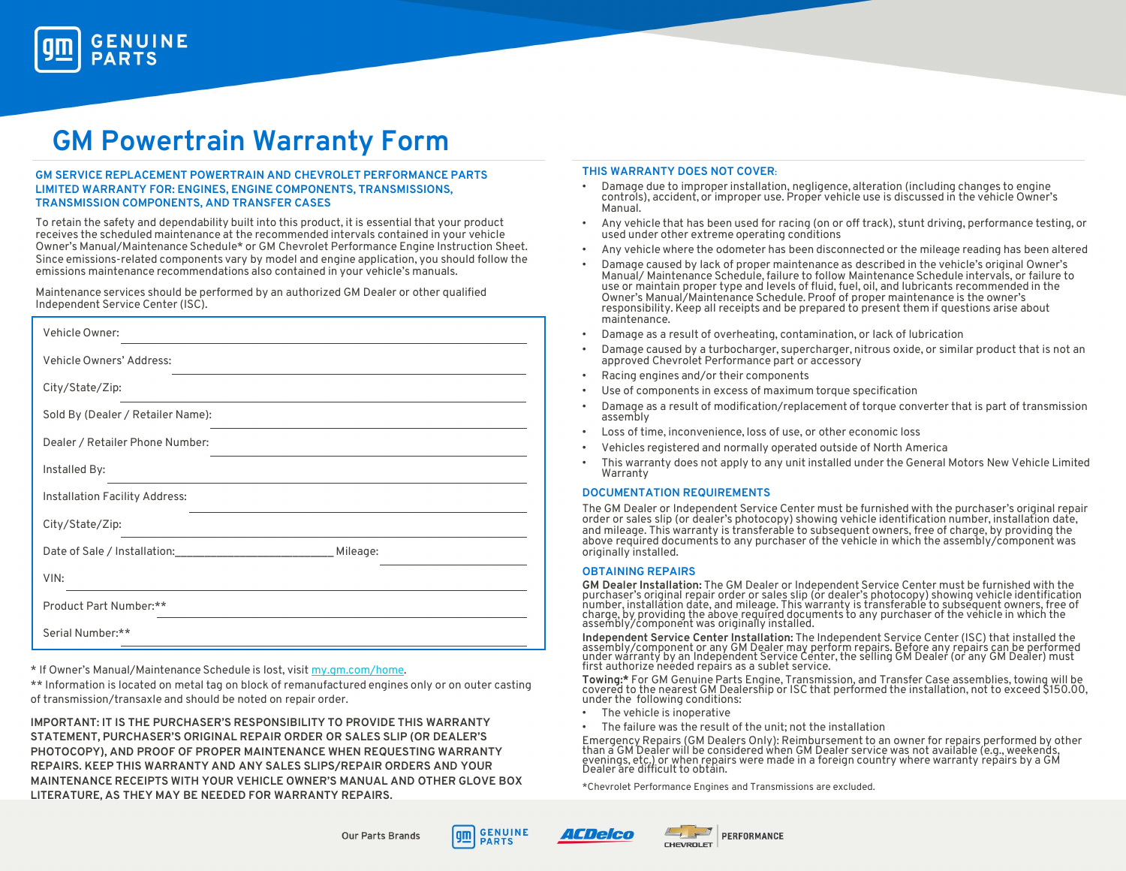

# GM Powertrain Warranty Form

# GM SERVICE REPLACEMENT POWERTRAIN AND CHEVROLET PERFORMANCE PARTS LIMITED WARRANTY FOR: ENGINES, ENGINE COMPONENTS, TRANSMISSIONS, TRANSMISSION COMPONENTS, AND TRANSFER CASES

To retain the safety and dependability built into this product, it is essential that your product receives the scheduled maintenance at the recommended intervals contained in your vehicle Owner's Manual/Maintenance Schedule\* or GM Chevrolet Performance Engine Instruction Sheet. Since emissions-related components vary by model and engine application, you should follow the emissions maintenance recommendations also contained in your vehicle's manuals.

Maintenance services should be performed by an authorized GM Dealer or other qualified Independent Service Center (ISC).

| Vehicle Owner:                                                                                                                                                                                                                                 |  |  |  |  |  |  |  |
|------------------------------------------------------------------------------------------------------------------------------------------------------------------------------------------------------------------------------------------------|--|--|--|--|--|--|--|
| Vehicle Owners' Address:                                                                                                                                                                                                                       |  |  |  |  |  |  |  |
| City/State/Zip:                                                                                                                                                                                                                                |  |  |  |  |  |  |  |
| Sold By (Dealer / Retailer Name):                                                                                                                                                                                                              |  |  |  |  |  |  |  |
| Dealer / Retailer Phone Number:                                                                                                                                                                                                                |  |  |  |  |  |  |  |
| Installed By:<br>the control of the control of the control of the control of the control of the control of the control of the control of the control of the control of the control of the control of the control of the control of the control |  |  |  |  |  |  |  |
| Installation Facility Address:                                                                                                                                                                                                                 |  |  |  |  |  |  |  |
| City/State/Zip:                                                                                                                                                                                                                                |  |  |  |  |  |  |  |
| Date of Sale / Installation: ___________________________________ Mileage:                                                                                                                                                                      |  |  |  |  |  |  |  |
| VIN:                                                                                                                                                                                                                                           |  |  |  |  |  |  |  |
| Product Part Number:**                                                                                                                                                                                                                         |  |  |  |  |  |  |  |
| Serial Number:**                                                                                                                                                                                                                               |  |  |  |  |  |  |  |

\* If Owner's Manual/Maintenance Schedule is lost, visit my.gm.com/home.

\*\* Information is located on metal tag on block of remanufactured engines only or on outer casting of transmission/transaxle and should be noted on repair order.

IMPORTANT: IT IS THE PURCHASER'S RESPONSIBILITY TO PROVIDE THIS WARRANTY STATEMENT, PURCHASER'S ORIGINAL REPAIR ORDER OR SALES SLIP (OR DEALER'S PHOTOCOPY), AND PROOF OF PROPER MAINTENANCE WHEN REQUESTING WARRANTY REPAIRS. KEEP THIS WARRANTY AND ANY SALES SLIPS/REPAIR ORDERS AND YOUR MAINTENANCE RECEIPTS WITH YOUR VEHICLE OWNER'S MANUAL AND OTHER GLOVE BOX LITERATURE, AS THEY MAY BE NEEDED FOR WARRANTY REPAIRS.

# THIS WARRANTY DOES NOT COVER:

- Damage due to improper installation, negligence, alteration (including changes to engine controls), accident, or improper use. Proper vehicle use is discussed in the vehicle Owner's Manual.
- Any vehicle that has been used for racing (on or off track), stunt driving, performance testing, or used under other extreme operating conditions
- Any vehicle where the odometer has been disconnected or the mileage reading has been altered
- Damage caused by lack of proper maintenance as described in the vehicle's original Owner's<br>Manual/ Maintenance Schedule, failure to follow Maintenance Schedule intervals, or failure to<br>use or maintain proper type and Owner's Manual/Maintenance Schedule. Proof of proper maintenance is the owner's responsibility. Keep all receipts and be prepared to present them if questions arise about maintenance.
- Damage as a result of overheating, contamination, or lack of lubrication
- Damage caused by a turbocharger, supercharger, nitrous oxide, or similar product that is not an approved Chevrolet Performance part or accessory
- Racing engines and/or their components
- Use of components in excess of maximum torque specification
- Damage as a result of modification/replacement of torque converter that is part of transmission assembly
- Loss of time, inconvenience, loss of use, or other economic loss
- Vehicles registered and normally operated outside of North America
- This warranty does not apply to any unit installed under the General Motors New Vehicle Limited Warranty

## DOCUMENTATION REQUIREMENTS

The GM Dealer or Independent Service Center must be furnished with the purchaser's original repair order or sales slip (or dealer's photocopy) showing vehicle identification number, installation date, and mileage. This warranty is transferable to subsequent owners, free of charge, by providing the above required documents to any purchaser of the vehicle in which the assembly/component was originally installed.

## OBTAINING REPAIRS

**GM Dealer Installation:** The GM Dealer or Independent Service Center must be furnished with the purchaser's original repair order or sales slip (or dealer's photocopy) showing vehicle identification number, installation d

assembly/component or any GM Dealer may perform repairs. Before any repairs can be performed<br>under warranty by an Independent Service Center, the selling GM Dealer (or any GM Dealer) must<br>first authorize needed repairs as

Towing:\* For GM Genuine Parts Engine, Transmission, and Transfer Case assemblies, towing will be<br>covered to the nearest GM Dealership or ISC that performed the installation, not to exceed \$150.00,<br>under the following condi

- The vehicle is inoperative
- The failure was the result of the unit; not the installation

Emergency Repairs (GM Dealers Only): Reimbursement to an owner for repairs performed by other<br>than a GM Dealer will be considered when GM Dealer service was not available (e.g., weekends,<br>evenings, etc.) or when repairs we

\*Chevrolet Performance Engines and Transmissions are excluded.